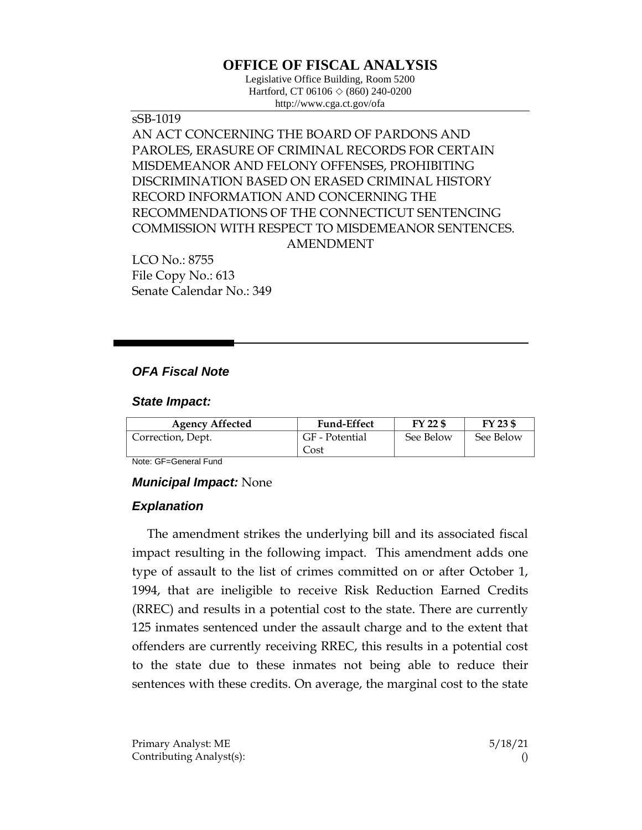# **OFFICE OF FISCAL ANALYSIS**

Legislative Office Building, Room 5200 Hartford, CT 06106 ◇ (860) 240-0200 http://www.cga.ct.gov/ofa

sSB-1019 AN ACT CONCERNING THE BOARD OF PARDONS AND PAROLES, ERASURE OF CRIMINAL RECORDS FOR CERTAIN MISDEMEANOR AND FELONY OFFENSES, PROHIBITING DISCRIMINATION BASED ON ERASED CRIMINAL HISTORY RECORD INFORMATION AND CONCERNING THE RECOMMENDATIONS OF THE CONNECTICUT SENTENCING COMMISSION WITH RESPECT TO MISDEMEANOR SENTENCES. AMENDMENT

LCO No.: 8755 File Copy No.: 613 Senate Calendar No.: 349

# *OFA Fiscal Note*

#### *State Impact:*

| <b>Agency Affected</b> | <b>Fund-Effect</b> | FY 22 \$  | FY 23 \$  |
|------------------------|--------------------|-----------|-----------|
| Correction, Dept.      | GF - Potential     | See Below | See Below |
|                        | Cost               |           |           |

Note: GF=General Fund

### *Municipal Impact:* None

### *Explanation*

The amendment strikes the underlying bill and its associated fiscal impact resulting in the following impact. This amendment adds one type of assault to the list of crimes committed on or after October 1, 1994, that are ineligible to receive Risk Reduction Earned Credits (RREC) and results in a potential cost to the state. There are currently 125 inmates sentenced under the assault charge and to the extent that offenders are currently receiving RREC, this results in a potential cost to the state due to these inmates not being able to reduce their sentences with these credits. On average, the marginal cost to the state